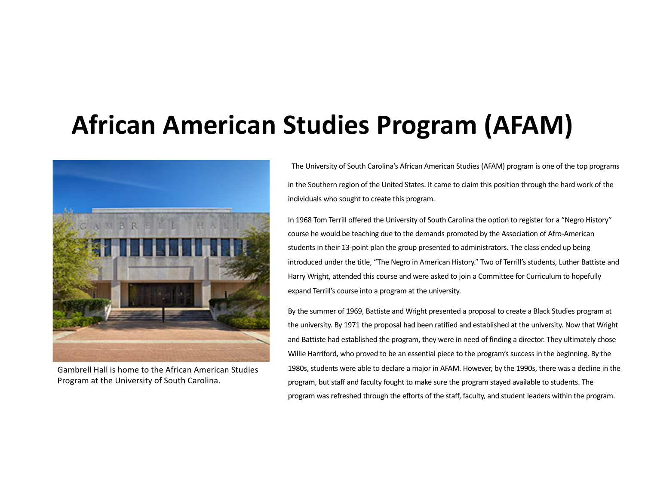# **African American Studies Program (AFAM)**



Gambrell Hall is home to the African American Studies Program at the University of South Carolina.

The University of South Carolina's African American Studies (AFAM) program is one of the top programs in the Southern region of the United States. It came to claim this position through the hard work of the individuals who sought to create this program.

In 1968 Tom Terrill offered the University of South Carolina the option to register for a "Negro History" course he would be teaching due to the demands promoted by the Association of Afro-American students in their 13-point plan the group presented to administrators. The class ended up being introduced under the title, "The Negro in American History." Two of Terrill's students, Luther Battiste and Harry Wright, attended this course and were asked to join a Committee for Curriculum to hopefully expand Terrill's course into a program at the university.

By the summer of 1969, Battiste and Wright presented a proposal to create a Black Studies program at the university. By 1971 the proposal had been ratified and established at the university. Now that Wright and Battiste had established the program, they were in need of finding a director. They ultimately chose Willie Harriford, who proved to be an essential piece to the program's success in the beginning. By the 1980s, students were able to declare a major in AFAM. However, by the 1990s, there was a decline in the program, but staff and faculty fought to make sure the program stayed available to students. The program was refreshed through the efforts of the staff, faculty, and student leaders within the program.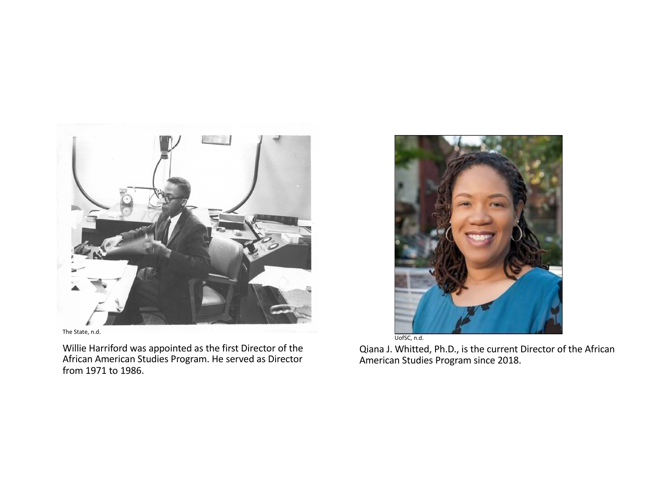

The State, n.d.

Willie Harriford was appointed as the first Director of the African American Studies Program. He served as Director from 1971 to 1986.



Qiana J. Whitted, Ph.D., is the current Director of the African American Studies Program since 2018.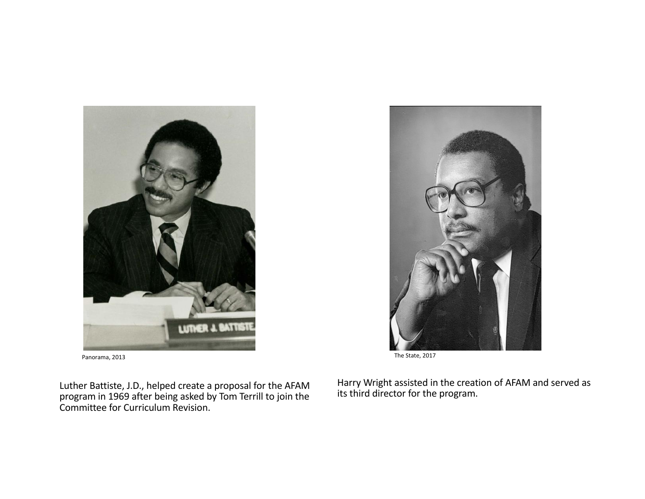

Luther Battiste, J.D., helped create a proposal for the AFAM program in 1969 after being asked by Tom Terrill to join the Committee for Curriculum Revision.

Harry Wright assisted in the creation of AFAM and served as its third director for the program.